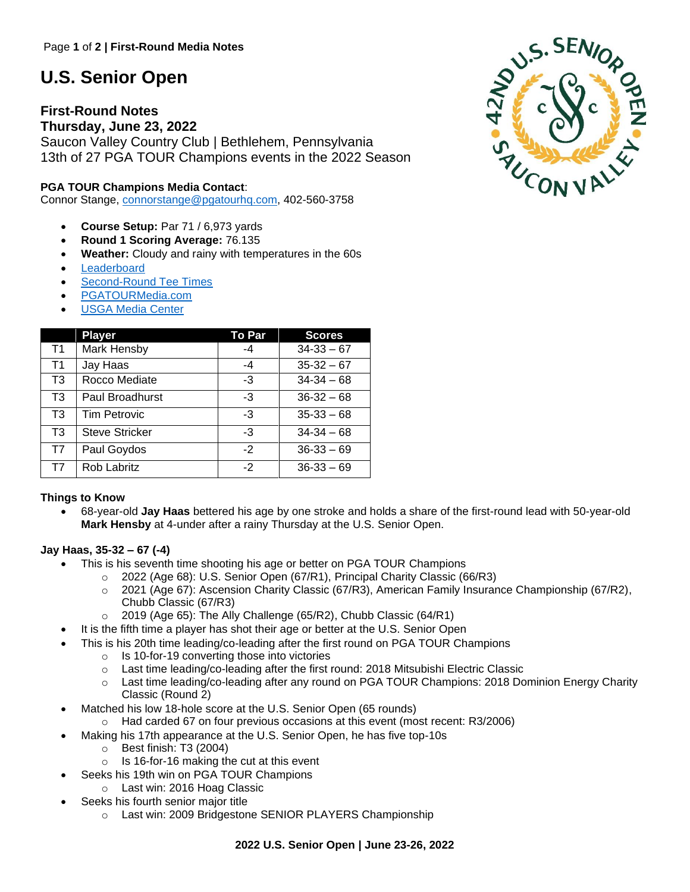# **U.S. Senior Open**

# **First-Round Notes**

**Thursday, June 23, 2022** Saucon Valley Country Club | Bethlehem, Pennsylvania 13th of 27 PGA TOUR Champions events in the 2022 Season

# **PGA TOUR Champions Media Contact**:

Connor Stange, [connorstange@pgatourhq.com,](mailto:connorstange@pgatourhq.com) 402-560-3758

- **Course Setup:** Par 71 / 6,973 yards
- **Round 1 Scoring Average:** 76.135
- **Weather:** Cloudy and rainy with temperatures in the 60s
- **[Leaderboard](https://www.pgatour.com/champions/leaderboard.html)**
- [Second-Round Tee Times](https://www.pgatour.com/champions/tee-times.html)
- [PGATOURMedia.com](https://pgatourmedia.pgatourhq.com/tours/2022/pgatourchampions/ussenioropenchampionship)
- **[USGA Media Center](https://mediacenter.usga.org/us-senior-open)**

|                | <b>Player</b>         | <b>To Par</b> | <b>Scores</b>  |
|----------------|-----------------------|---------------|----------------|
| T1             | Mark Hensby           | -4            | $34-33-67$     |
| T <sub>1</sub> | Jay Haas              | $-4$          | $35-32-67$     |
| T <sub>3</sub> | Rocco Mediate         | -3            | $34 - 34 - 68$ |
| T3             | Paul Broadhurst       | -3            | $36 - 32 - 68$ |
| T <sub>3</sub> | <b>Tim Petrovic</b>   | -3            | $35-33-68$     |
| T <sub>3</sub> | <b>Steve Stricker</b> | -3            | $34 - 34 - 68$ |
| T7             | Paul Goydos           | $-2$          | $36-33-69$     |
| T7             | Rob Labritz           | $-2$          | $36-33-69$     |

# **Things to Know**

• 68-year-old **Jay Haas** bettered his age by one stroke and holds a share of the first-round lead with 50-year-old **Mark Hensby** at 4-under after a rainy Thursday at the U.S. Senior Open.

# **Jay Haas, 35-32 – 67 (-4)**

- This is his seventh time shooting his age or better on PGA TOUR Champions
	- o 2022 (Age 68): U.S. Senior Open (67/R1), Principal Charity Classic (66/R3)
	- $\circ$  2021 (Age 67): Ascension Charity Classic (67/R3), American Family Insurance Championship (67/R2), Chubb Classic (67/R3)
	- $\circ$  2019 (Age 65): The Ally Challenge (65/R2), Chubb Classic (64/R1)
- It is the fifth time a player has shot their age or better at the U.S. Senior Open
- This is his 20th time leading/co-leading after the first round on PGA TOUR Champions
	- o Is 10-for-19 converting those into victories
	- $\circ$  Last time leading/co-leading after the first round: 2018 Mitsubishi Electric Classic
	- o Last time leading/co-leading after any round on PGA TOUR Champions: 2018 Dominion Energy Charity Classic (Round 2)
- Matched his low 18-hole score at the U.S. Senior Open (65 rounds)
- $\circ$  Had carded 67 on four previous occasions at this event (most recent: R3/2006)
- Making his 17th appearance at the U.S. Senior Open, he has five top-10s
	- o Best finish: T3 (2004)
	- o Is 16-for-16 making the cut at this event
	- Seeks his 19th win on PGA TOUR Champions
		- o Last win: 2016 Hoag Classic
- Seeks his fourth senior major title
	- o Last win: 2009 Bridgestone SENIOR PLAYERS Championship